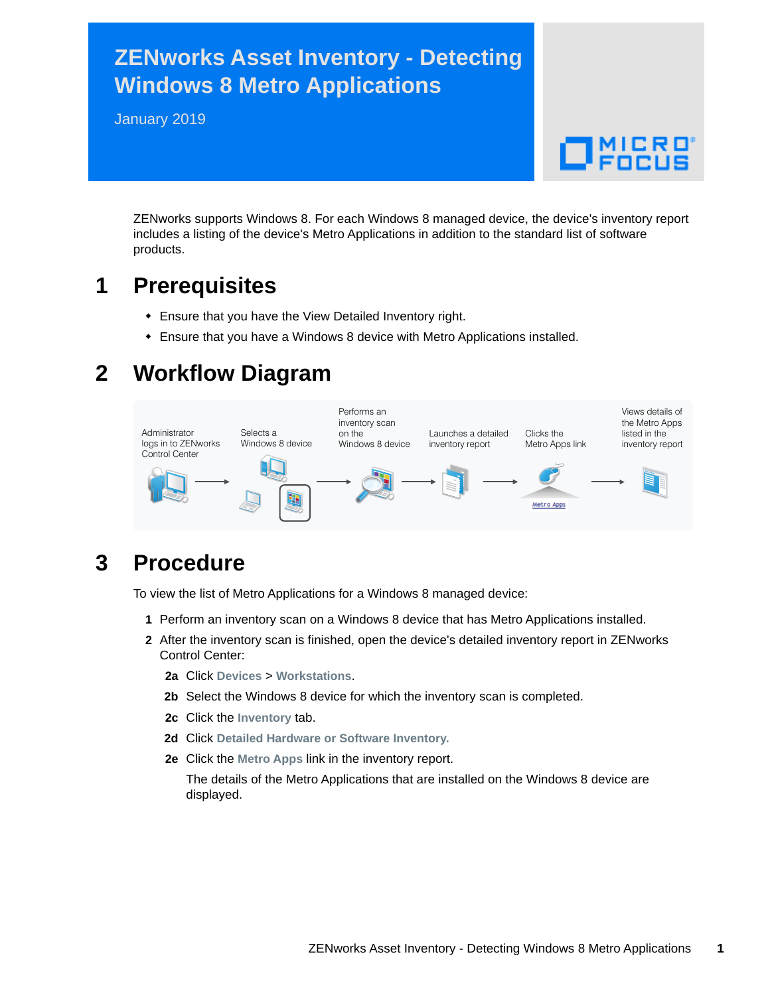# **ZENworks Asset Inventory - Detecting Windows 8 Metro Applications**

January 2019



ZENworks supports Windows 8. For each Windows 8 managed device, the device's inventory report includes a listing of the device's Metro Applications in addition to the standard list of software products.

#### **1 Prerequisites**

- Ensure that you have the View Detailed Inventory right.
- Ensure that you have a Windows 8 device with Metro Applications installed.

#### **2 Workflow Diagram**



## **3 Procedure**

To view the list of Metro Applications for a Windows 8 managed device:

- **1** Perform an inventory scan on a Windows 8 device that has Metro Applications installed.
- **2** After the inventory scan is finished, open the device's detailed inventory report in ZENworks Control Center:
	- **2a** Click **Devices** > **Workstations**.
	- **2b** Select the Windows 8 device for which the inventory scan is completed.
	- **2c** Click the **Inventory** tab.
	- **2d** Click **Detailed Hardware or Software Inventory.**
	- **2e** Click the **Metro Apps** link in the inventory report.

The details of the Metro Applications that are installed on the Windows 8 device are displayed.